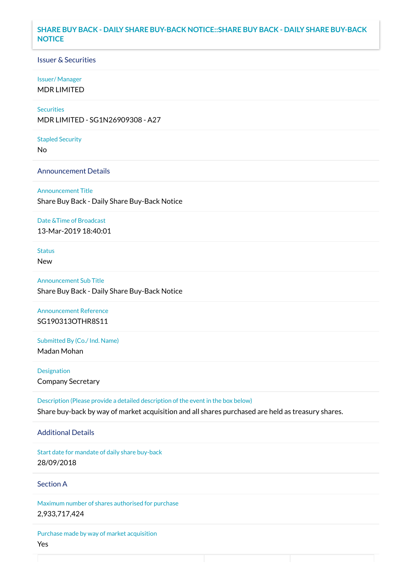## **SHARE BUY BACK - DAILY SHARE BUY-BACK NOTICE::SHARE BUY BACK - DAILY SHARE BUY-BACK NOTICE**

## Issuer & Securities

### Issuer/ Manager

MDR LIMITED

# **Securities**

MDR LIMITED - SG1N26909308 - A27

#### Stapled Security

No

### Announcement Details

Announcement Title Share Buy Back - Daily Share Buy-Back Notice

#### Date &Time of Broadcast

13-Mar-2019 18:40:01

# Status

New

Announcement Sub Title Share Buy Back - Daily Share Buy-Back Notice

Announcement Reference SG190313OTHR8S11

Submitted By (Co./ Ind. Name)

Madan Mohan

**Designation** Company Secretary

Description (Please provide a detailed description of the event in the box below) Share buy-back by way of market acquisition and all shares purchased are held as treasury shares.

### Additional Details

Start date for mandate of daily share buy-back 28/09/2018

## Section A

Maximum number of shares authorised for purchase 2,933,717,424

Purchase made by way of market acquisition Yes